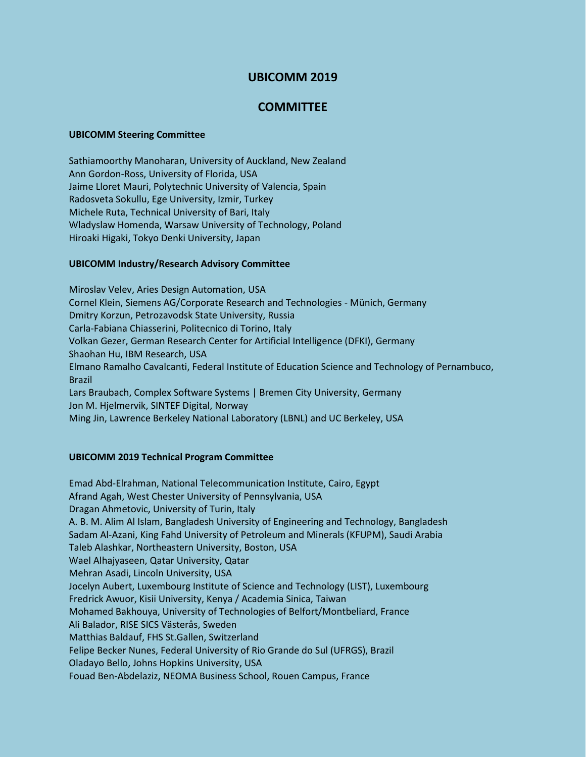# **UBICOMM 2019**

## **COMMITTEE**

#### **UBICOMM Steering Committee**

Sathiamoorthy Manoharan, University of Auckland, New Zealand Ann Gordon-Ross, University of Florida, USA Jaime Lloret Mauri, Polytechnic University of Valencia, Spain Radosveta Sokullu, Ege University, Izmir, Turkey Michele Ruta, Technical University of Bari, Italy Wladyslaw Homenda, Warsaw University of Technology, Poland Hiroaki Higaki, Tokyo Denki University, Japan

## **UBICOMM Industry/Research Advisory Committee**

Miroslav Velev, Aries Design Automation, USA Cornel Klein, Siemens AG/Corporate Research and Technologies - Münich, Germany Dmitry Korzun, Petrozavodsk State University, Russia Carla-Fabiana Chiasserini, Politecnico di Torino, Italy Volkan Gezer, German Research Center for Artificial Intelligence (DFKI), Germany Shaohan Hu, IBM Research, USA Elmano Ramalho Cavalcanti, Federal Institute of Education Science and Technology of Pernambuco, Brazil Lars Braubach, Complex Software Systems | Bremen City University, Germany Jon M. Hjelmervik, SINTEF Digital, Norway Ming Jin, Lawrence Berkeley National Laboratory (LBNL) and UC Berkeley, USA

## **UBICOMM 2019 Technical Program Committee**

Emad Abd-Elrahman, National Telecommunication Institute, Cairo, Egypt Afrand Agah, West Chester University of Pennsylvania, USA Dragan Ahmetovic, University of Turin, Italy A. B. M. Alim Al Islam, Bangladesh University of Engineering and Technology, Bangladesh Sadam Al-Azani, King Fahd University of Petroleum and Minerals (KFUPM), Saudi Arabia Taleb Alashkar, Northeastern University, Boston, USA Wael Alhajyaseen, Qatar University, Qatar Mehran Asadi, Lincoln University, USA Jocelyn Aubert, Luxembourg Institute of Science and Technology (LIST), Luxembourg Fredrick Awuor, Kisii University, Kenya / Academia Sinica, Taiwan Mohamed Bakhouya, University of Technologies of Belfort/Montbeliard, France Ali Balador, RISE SICS Västerås, Sweden Matthias Baldauf, FHS St.Gallen, Switzerland Felipe Becker Nunes, Federal University of Rio Grande do Sul (UFRGS), Brazil Oladayo Bello, Johns Hopkins University, USA Fouad Ben-Abdelaziz, NEOMA Business School, Rouen Campus, France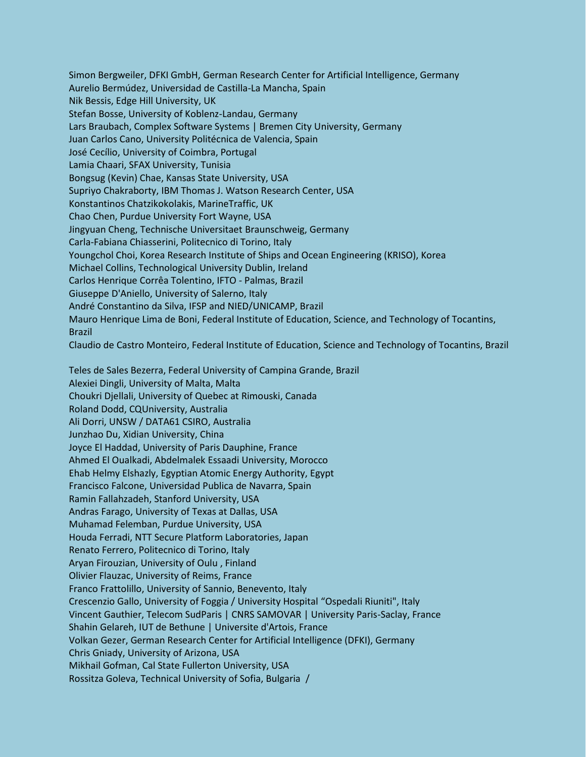Simon Bergweiler, DFKI GmbH, German Research Center for Artificial Intelligence, Germany Aurelio Bermúdez, Universidad de Castilla-La Mancha, Spain Nik Bessis, Edge Hill University, UK Stefan Bosse, University of Koblenz-Landau, Germany Lars Braubach, Complex Software Systems | Bremen City University, Germany Juan Carlos Cano, University Politécnica de Valencia, Spain José Cecílio, University of Coimbra, Portugal Lamia Chaari, SFAX University, Tunisia Bongsug (Kevin) Chae, Kansas State University, USA Supriyo Chakraborty, IBM Thomas J. Watson Research Center, USA Konstantinos Chatzikokolakis, MarineTraffic, UK Chao Chen, Purdue University Fort Wayne, USA Jingyuan Cheng, Technische Universitaet Braunschweig, Germany Carla-Fabiana Chiasserini, Politecnico di Torino, Italy Youngchol Choi, Korea Research Institute of Ships and Ocean Engineering (KRISO), Korea Michael Collins, Technological University Dublin, Ireland Carlos Henrique Corrêa Tolentino, IFTO - Palmas, Brazil Giuseppe D'Aniello, University of Salerno, Italy André Constantino da Silva, IFSP and NIED/UNICAMP, Brazil Mauro Henrique Lima de Boni, Federal Institute of Education, Science, and Technology of Tocantins, Brazil Claudio de Castro Monteiro, Federal Institute of Education, Science and Technology of Tocantins, Brazil

Teles de Sales Bezerra, Federal University of Campina Grande, Brazil Alexiei Dingli, University of Malta, Malta Choukri Djellali, University of Quebec at Rimouski, Canada Roland Dodd, CQUniversity, Australia Ali Dorri, UNSW / DATA61 CSIRO, Australia Junzhao Du, Xidian University, China Joyce El Haddad, University of Paris Dauphine, France Ahmed El Oualkadi, Abdelmalek Essaadi University, Morocco Ehab Helmy Elshazly, Egyptian Atomic Energy Authority, Egypt Francisco Falcone, Universidad Publica de Navarra, Spain Ramin Fallahzadeh, Stanford University, USA Andras Farago, University of Texas at Dallas, USA Muhamad Felemban, Purdue University, USA Houda Ferradi, NTT Secure Platform Laboratories, Japan Renato Ferrero, Politecnico di Torino, Italy Aryan Firouzian, University of Oulu , Finland Olivier Flauzac, University of Reims, France Franco Frattolillo, University of Sannio, Benevento, Italy Crescenzio Gallo, University of Foggia / University Hospital "Ospedali Riuniti", Italy Vincent Gauthier, Telecom SudParis | CNRS SAMOVAR | University Paris-Saclay, France Shahin Gelareh, IUT de Bethune | Universite d'Artois, France Volkan Gezer, German Research Center for Artificial Intelligence (DFKI), Germany Chris Gniady, University of Arizona, USA Mikhail Gofman, Cal State Fullerton University, USA Rossitza Goleva, Technical University of Sofia, Bulgaria /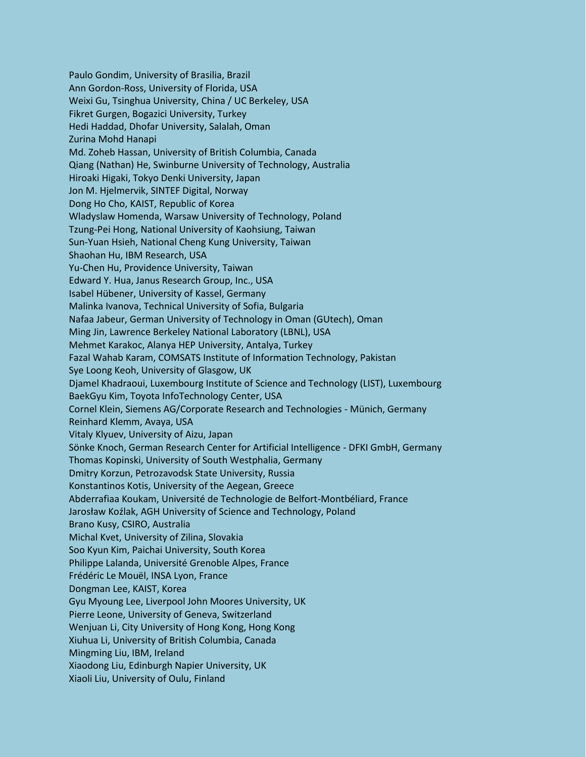Paulo Gondim, University of Brasilia, Brazil Ann Gordon-Ross, University of Florida, USA Weixi Gu, Tsinghua University, China / UC Berkeley, USA Fikret Gurgen, Bogazici University, Turkey Hedi Haddad, Dhofar University, Salalah, Oman Zurina Mohd Hanapi Md. Zoheb Hassan, University of British Columbia, Canada Qiang (Nathan) He, Swinburne University of Technology, Australia Hiroaki Higaki, Tokyo Denki University, Japan Jon M. Hjelmervik, SINTEF Digital, Norway Dong Ho Cho, KAIST, Republic of Korea Wladyslaw Homenda, Warsaw University of Technology, Poland Tzung-Pei Hong, National University of Kaohsiung, Taiwan Sun-Yuan Hsieh, National Cheng Kung University, Taiwan Shaohan Hu, IBM Research, USA Yu-Chen Hu, Providence University, Taiwan Edward Y. Hua, Janus Research Group, Inc., USA Isabel Hübener, University of Kassel, Germany Malinka Ivanova, Technical University of Sofia, Bulgaria Nafaa Jabeur, German University of Technology in Oman (GUtech), Oman Ming Jin, Lawrence Berkeley National Laboratory (LBNL), USA Mehmet Karakoc, Alanya HEP University, Antalya, Turkey Fazal Wahab Karam, COMSATS Institute of Information Technology, Pakistan Sye Loong Keoh, University of Glasgow, UK Djamel Khadraoui, Luxembourg Institute of Science and Technology (LIST), Luxembourg BaekGyu Kim, Toyota InfoTechnology Center, USA Cornel Klein, Siemens AG/Corporate Research and Technologies - Münich, Germany Reinhard Klemm, Avaya, USA Vitaly Klyuev, University of Aizu, Japan Sönke Knoch, German Research Center for Artificial Intelligence - DFKI GmbH, Germany Thomas Kopinski, University of South Westphalia, Germany Dmitry Korzun, Petrozavodsk State University, Russia Konstantinos Kotis, University of the Aegean, Greece Abderrafiaa Koukam, Université de Technologie de Belfort-Montbéliard, France Jarosław Koźlak, AGH University of Science and Technology, Poland Brano Kusy, CSIRO, Australia Michal Kvet, University of Zilina, Slovakia Soo Kyun Kim, Paichai University, South Korea Philippe Lalanda, Université Grenoble Alpes, France Frédéric Le Mouël, INSA Lyon, France Dongman Lee, KAIST, Korea Gyu Myoung Lee, Liverpool John Moores University, UK Pierre Leone, University of Geneva, Switzerland Wenjuan Li, City University of Hong Kong, Hong Kong Xiuhua Li, University of British Columbia, Canada Mingming Liu, IBM, Ireland Xiaodong Liu, Edinburgh Napier University, UK Xiaoli Liu, University of Oulu, Finland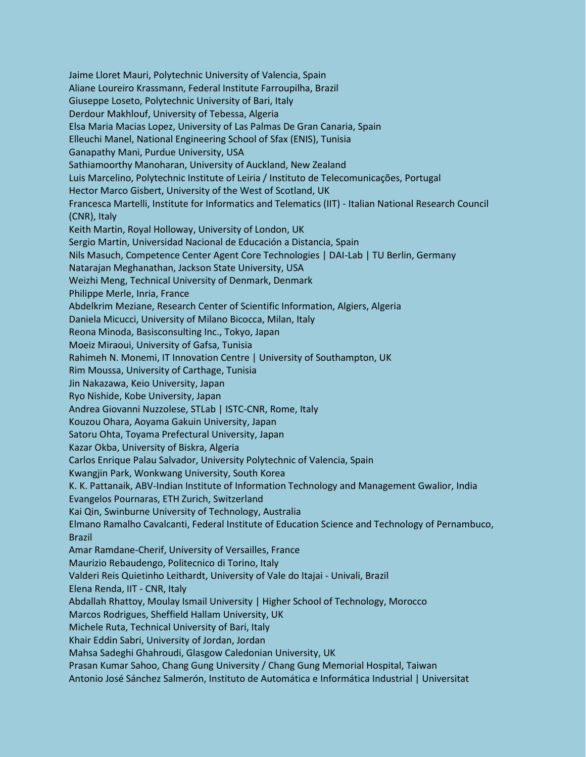Jaime Lloret Mauri, Polytechnic University of Valencia, Spain Aliane Loureiro Krassmann, Federal Institute Farroupilha, Brazil Giuseppe Loseto, Polytechnic University of Bari, Italy Derdour Makhlouf, University of Tebessa, Algeria Elsa Maria Macias Lopez, University of Las Palmas De Gran Canaria, Spain Elleuchi Manel, National Engineering School of Sfax (ENIS), Tunisia Ganapathy Mani, Purdue University, USA Sathiamoorthy Manoharan, University of Auckland, New Zealand Luis Marcelino, Polytechnic Institute of Leiria / Instituto de Telecomunicações, Portugal Hector Marco Gisbert, University of the West of Scotland, UK Francesca Martelli, Institute for Informatics and Telematics (IIT) - Italian National Research Council (CNR), Italy Keith Martin, Royal Holloway, University of London, UK Sergio Martin, Universidad Nacional de Educación a Distancia, Spain Nils Masuch, Competence Center Agent Core Technologies | DAI-Lab | TU Berlin, Germany Natarajan Meghanathan, Jackson State University, USA Weizhi Meng, Technical University of Denmark, Denmark Philippe Merle, Inria, France Abdelkrim Meziane, Research Center of Scientific Information, Algiers, Algeria Daniela Micucci, University of Milano Bicocca, Milan, Italy Reona Minoda, Basisconsulting Inc., Tokyo, Japan Moeiz Miraoui, University of Gafsa, Tunisia Rahimeh N. Monemi, IT Innovation Centre | University of Southampton, UK Rim Moussa, University of Carthage, Tunisia Jin Nakazawa, Keio University, Japan Ryo Nishide, Kobe University, Japan Andrea Giovanni Nuzzolese, STLab | ISTC-CNR, Rome, Italy Kouzou Ohara, Aoyama Gakuin University, Japan Satoru Ohta, Toyama Prefectural University, Japan Kazar Okba, University of Biskra, Algeria Carlos Enrique Palau Salvador, University Polytechnic of Valencia, Spain Kwangjin Park, Wonkwang University, South Korea K. K. Pattanaik, ABV-Indian Institute of Information Technology and Management Gwalior, India Evangelos Pournaras, ETH Zurich, Switzerland Kai Qin, Swinburne University of Technology, Australia Elmano Ramalho Cavalcanti, Federal Institute of Education Science and Technology of Pernambuco, Brazil Amar Ramdane-Cherif, University of Versailles, France Maurizio Rebaudengo, Politecnico di Torino, Italy Valderi Reis Quietinho Leithardt, University of Vale do Itajai - Univali, Brazil Elena Renda, IIT - CNR, Italy Abdallah Rhattoy, Moulay Ismail University | Higher School of Technology, Morocco Marcos Rodrigues, Sheffield Hallam University, UK Michele Ruta, Technical University of Bari, Italy Khair Eddin Sabri, University of Jordan, Jordan Mahsa Sadeghi Ghahroudi, Glasgow Caledonian University, UK Prasan Kumar Sahoo, Chang Gung University / Chang Gung Memorial Hospital, Taiwan Antonio José Sánchez Salmerón, Instituto de Automática e Informática Industrial | Universitat